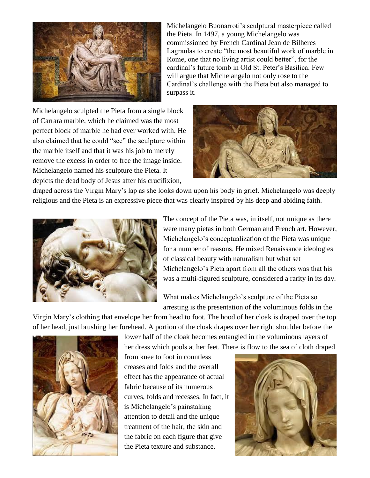

Michelangelo Buonarroti's sculptural masterpiece called the Pieta. In 1497, a young Michelangelo was commissioned by French Cardinal Jean de Bilheres Lagraulas to create "the most beautiful work of marble in Rome, one that no living artist could better", for the cardinal's future tomb in Old St. Peter's Basilica. Few will argue that Michelangelo not only rose to the Cardinal's challenge with the Pieta but also managed to surpass it.

Michelangelo sculpted the Pieta from a single block of Carrara marble, which he claimed was the most perfect block of marble he had ever worked with. He also claimed that he could "see" the sculpture within the marble itself and that it was his job to merely remove the excess in order to free the image inside. Michelangelo named his sculpture the Pieta. It depicts the dead body of Jesus after his crucifixion,



draped across the Virgin Mary's lap as she looks down upon his body in grief. Michelangelo was deeply religious and the Pieta is an expressive piece that was clearly inspired by his deep and abiding faith.



The concept of the Pieta was, in itself, not unique as there were many pietas in both German and French art. However, Michelangelo's conceptualization of the Pieta was unique for a number of reasons. He mixed Renaissance ideologies of classical beauty with naturalism but what set Michelangelo's Pieta apart from all the others was that his was a multi-figured sculpture, considered a rarity in its day.

What makes Michelangelo's sculpture of the Pieta so arresting is the presentation of the voluminous folds in the

Virgin Mary's clothing that envelope her from head to foot. The hood of her cloak is draped over the top of her head, just brushing her forehead. A portion of the cloak drapes over her right shoulder before the



lower half of the cloak becomes entangled in the voluminous layers of her dress which pools at her feet. There is flow to the sea of cloth draped

from knee to foot in countless creases and folds and the overall effect has the appearance of actual fabric because of its numerous curves, folds and recesses. In fact, it is Michelangelo's painstaking attention to detail and the unique treatment of the hair, the skin and the fabric on each figure that give the Pieta texture and substance.

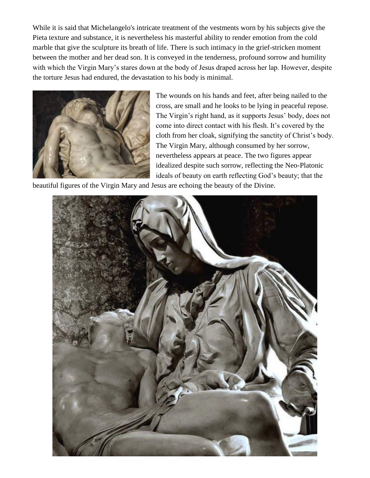While it is said that Michelangelo's intricate treatment of the vestments worn by his subjects give the Pieta texture and substance, it is nevertheless his masterful ability to render emotion from the cold marble that give the sculpture its breath of life. There is such intimacy in the grief-stricken moment between the mother and her dead son. It is conveyed in the tenderness, profound sorrow and humility with which the Virgin Mary's stares down at the body of Jesus draped across her lap. However, despite the torture Jesus had endured, the devastation to his body is minimal.



The wounds on his hands and feet, after being nailed to the cross, are small and he looks to be lying in peaceful repose. The Virgin's right hand, as it supports Jesus' body, does not come into direct contact with his flesh. It's covered by the cloth from her cloak, signifying the sanctity of Christ's body. The Virgin Mary, although consumed by her sorrow, nevertheless appears at peace. The two figures appear idealized despite such sorrow, reflecting the Neo-Platonic ideals of beauty on earth reflecting God's beauty; that the

beautiful figures of the Virgin Mary and Jesus are echoing the beauty of the Divine.